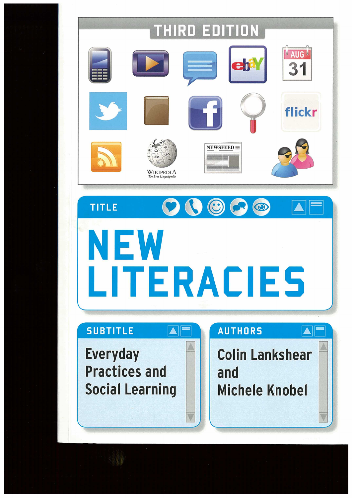# THIRD EDITION AUG ep 31 flickr NEWSFEED= kipedi A

# $O$   $O$   $O$   $O$ **TITLE NEW** LITERACIES

 $\left| \blacktriangle \right|$ 

#### **SUBTITLE**

**Everyday Practices and Social Learning** 

#### **AUTHORS**

**Colin Lankshear** and **Michele Knobel**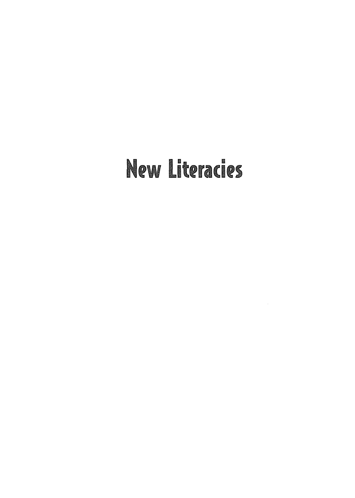# **New Literacies**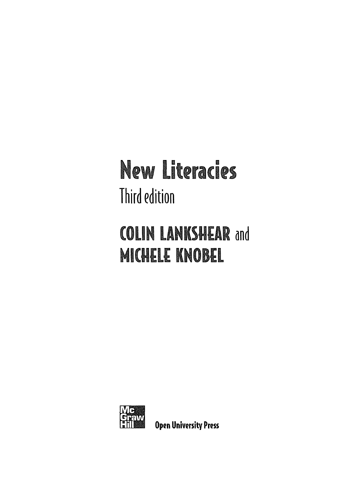## **New Literacies Third edition**

## **COLIN LANKSHEAR and MICHELE KNOBEL**



**Open University Press**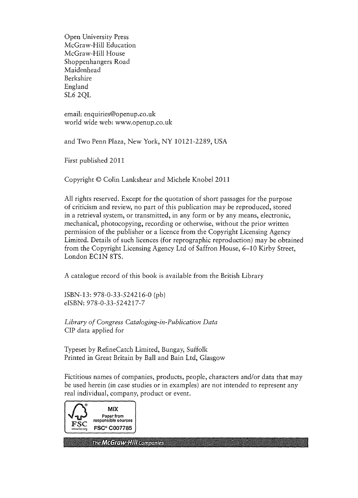Open University Press McGraw-Hili Education McGraw-Hili House Shoppenhangers Road Maidenhead Berkshire England SL62QL

email: enquiries@openup.co.uk world wide web: www.openup.co.uk

and Two Penn Plaza, New York, NY 10121-2289, USA

First published 2011

Copyright © Colin Lankshear and Michele Knobel 2011

All rights reserved. Except for the quotation of short passages for the purpose of criticism and review, no part of this publication may be reproduced, stored in a retrieval system, or transmitted, in any form or by any means, electronic, mechanical, photocopying, recording or otherwise, without the prior written permission of the publisher or a licence from the Copyright Licensing Agency Limited. Details of such licences (for reprographic reproduction) may be obtained from the Copyright Licensing Agency Ltd of Saffron House, 6-10 Kirby Street, London EC1N 8TS.

A catalogue record of this book is available from the British Library

ISBN-13: 978-0-33-524216-0 (pb) eISBN: 978-0-33-524217-7

*Library of Congress Cataloging-in-Publication Data*  CIP data applied for

Typeset by RefineCatch Limited, Bungay, Suffolk Printed in Great Britain by Ball and Bain Ltd, Glasgow

Fictitious names of companies, products, people, characters and/or data that may be used herein (in case studies or in examples) are not intended to represent any real individual, company, product or event.



The McGraw Hill Companies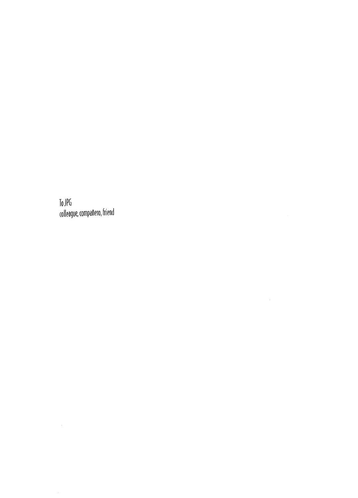ToJPG colleague, companero, friend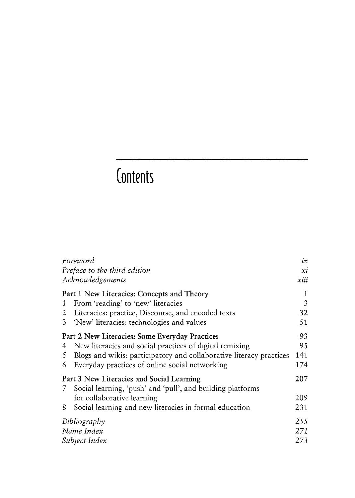## **Contents**

| Foreword                                                                 | $\imath\mathcal{x}$ |
|--------------------------------------------------------------------------|---------------------|
| Preface to the third edition                                             | $x_i$               |
| Acknowledgements                                                         | xiii                |
| Part 1 New Literacies: Concepts and Theory                               | 1                   |
| From 'reading' to 'new' literacies<br>1                                  | 3                   |
| Literacies: practice, Discourse, and encoded texts<br>2                  | 32                  |
| 'New' literacies: technologies and values<br>3                           | 51                  |
| Part 2 New Literacies: Some Everyday Practices                           | 93                  |
| New literacies and social practices of digital remixing<br>4             | 95                  |
| Blogs and wikis: participatory and collaborative literacy practices<br>5 | 141                 |
| Everyday practices of online social networking<br>6                      | 174                 |
| Part 3 New Literacies and Social Learning                                | 207                 |
| Social learning, 'push' and 'pull', and building platforms<br>7.         |                     |
| for collaborative learning                                               | 209                 |
| Social learning and new literacies in formal education<br>8.             | 231                 |
| Bibliography                                                             | 255                 |
| Name Index                                                               | 271                 |
| Subject Index                                                            | 273                 |
|                                                                          |                     |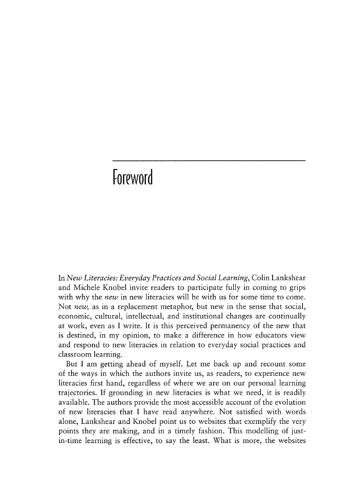### **foreword**

In *New Literacies: Everyday Practices and Social Learning,* Colin Lankshear and Michele Knobel invite readers to participate fully in coming to grips with why the *new* in new literacies will be with us for some time to come. Not *new,* as in a replacement metaphor, but new in the sense that social, economic, cultural, intellectual, and institutional changes are continually at work, even as I write. It is this perceived permanency of the new that is destined, in my opinion, to make a difference in how educators view and respond to new literacies in relation to everyday social practices and classroom learning.

But I am getting ahead of myself. Let me back up and recount some of the ways in which the authors invite us, as readers, to experience new literacies first hand, regardless of where we are on our personal learning trajectories. If grounding in new literacies is what we need, it is readily available. The authors provide the most accessible account of the evolution of new literacies that I have read anywhere. Not satisfied with words alone, Lankshear and Knobel point us to websites that exemplify the very points they are making, and in a timely fashion. This modelling of justin-time learning is effective, to say the least. What is more, the websites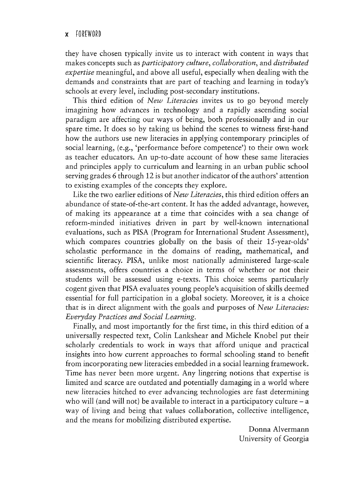they have chosen typically invite us to interact with content in ways that makes concepts such as *participatory culture, collaboration,* and *distributed expertise* meaningful, and above all useful, especially when dealing with the demands and constraints that are part of teaching and learning in today's schools at every level, including post-secondary institutions.

This third edition of *New Literacies* invites us to go beyond merely imagining how advances in technology and a rapidly ascending social paradigm are affecting our ways of being, both professionally and in our spare time. It does so by taking us behind the scenes to witness first-hand how the authors use new literacies in applying contemporary principles of social learning, (e.g., 'performance before competence') to their own work as teacher educators. An up-to-date account of how these same literacies and principles apply to curriculum and learning in an urban public school serving grades 6 through 12 is but another indicator of the authors' attention to existing examples of the concepts they explore.

Like the two earlier editions of *New Literacies,* this third edition offers an abundance of state-of-the-art content. It has the added advantage, however, of making its appearance at a time that coincides with a sea change of reform-minded initiatives driven in part by well-known international evaluations, such as PISA (Program for International Student Assessment), which compares countries globally on the basis of their 15-year-olds' scholastic performance in the domains of reading, mathematical, and scientific literacy. PISA, unlike most nationally administered large-scale assessments, offers countries a choice in terms of whether or not their students will be assessed using e-texts. This choice seems particularly cogent given that PISA evaluates young people's acquisition of skills deemed essential for full participation in a global society. Moreover, it is a choice that is in direct alignment with the goals and purposes of *New Literacies: Everyday Practices and Social Learning.* 

Finally, and most importantly for the first time, in this third edition of a universally respected text, Colin Lankshear and Michele Knobel put their scholarly credentials to work in ways that afford unique and practical insights into how current approaches to formal schooling stand to benefit from incorporating new literacies embedded in a social learning framework. Time has never been more urgent. Any lingering notions that expertise is limited and scarce are outdated and potentially damaging in a world where new literacies hitched to ever advancing technologies are fast determining who will (and will not) be available to interact in a participatory culture - a way of living and being that values collaboration, collective intelligence, and the means for mobilizing distributed expertise.

> Donna Alvermann University of Georgia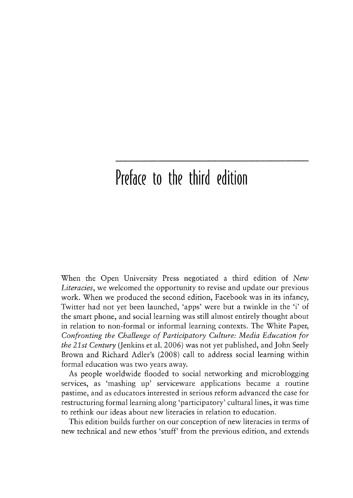## Preface to the third edition

When the Open University Press negotiated a third edition of *New Literacies,* we welcomed the opportunity to revise and update our previous work. When we produced the second edition, Facebook was in its infancy, Twitter had not yet been launched, 'apps' were but a twinkle in the 'i' of the smart phone, and social learning was still almost entirely thought about in relation to non-formal or informal learning contexts. The White Paper, *Confronting the Challenge of Participatory Culture: Media Education for the 21st Century* (Jenkins et al. 2006) was not yet published, and John Seely Brown and Richard Adler's (2008) call to address social learning within formal education was two years away.

As people worldwide flooded to social networking and microblogging services, as 'mashing up' serviceware applications became a routine pastime, and as educators interested in serious reform advanced the case for restructuring formal learning along 'participatory' cultural lines, it was time to rethink our ideas about new literacies in relation to education.

This edition builds further on our conception of new literacies in terms of new technical and new ethos 'stuff' from the previous edition, and extends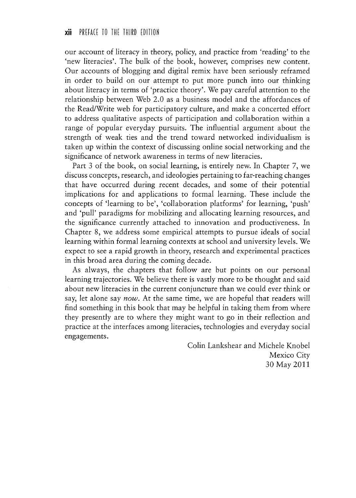our account of literacy in theory, policy, and practice from 'reading' to the 'new literacies'. The bulk of the book, however, comprises new content. Our accounts of blogging and digital remix have been seriously reframed in order to build on our attempt to put more punch into our thinking about literacy in terms of 'practice theory'. We pay careful attention to the relationship between Web 2.0 as a business model and the affordances of the ReadlWrite web for participatory culture, and make a concerted effort to address qualitative aspects of participation and collaboration within a range of popular everyday pursuits. The influential argument about the strength of weak ties and the trend toward networked individualism is taken up within the context of discussing online social networking and the significance of network awareness in terms of new literacies.

Part 3 of the book, on social learning, is entirely new. **In** Chapter 7, we discuss concepts, research, and ideologies pertaining to far-reaching changes that have occurred during recent decades, and some of their potential implications for and applications to formal learning. These include the concepts of 'learning to be', 'collaboration platforms' for learning, 'push' and 'pull' paradigms for mobilizing and allocating learning resources, and the significance currently attached to innovation and productiveness. **In**  Chapter 8, we address some empirical attempts to pursue ideals of social learning within formal learning contexts at school and university levels. We expect to see a rapid growth in theory, research and experimental practices in this broad area during the coming decade.

As always, the chapters that follow are but points on our personal learning trajectories. We believe there is vastly more to be thought and said about new literacies in the current conjuncture than we could ever think or say, let alone say *now.* At the same time, we are hopeful that readers will find something in this book that may be helpful in taking them from where they presently are to where they might want to go in their reflection and practice at the interfaces among literacies, technologies and everyday social engagements.

> Colin Lankshear and Michele Knobel Mexico City 30 May 2011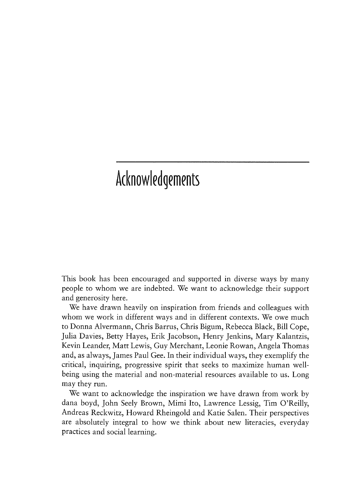## Acknowledgements

This book has been encouraged and supported in diverse ways by many people to whom we are indebted. We want to acknowledge their support and generosity here.

We have drawn heavily on inspiration from friends and colleagues with whom we work in different ways and in different contexts. We owe much to Donna Alvermann, Chris Barrus, Chris Bigum, Rebecca Black, Bill Cope, Julia Davies, Betty Hayes, Erik Jacobson, Henry Jenkins, Mary Kalantzis, Kevin Leander, Matt Lewis, Guy Merchant, Leonie Rowan, Angela Thomas and, as always, James Paul Gee. In their individual ways, they exemplify the critical, inquiring, progressive spirit that seeks to maximize human wellbeing using the material and non-material resources available to us. Long may they run.

We want to acknowledge the inspiration we have drawn from work by dana boyd, John Seely Brown, Mimi Ito, Lawrence Lessig, Tim O'Reilly, Andreas Reckwitz, Howard Rheingold and Katie Salen. Their perspectives are absolutely integral to how we think about new literacies, everyday practices and social learning.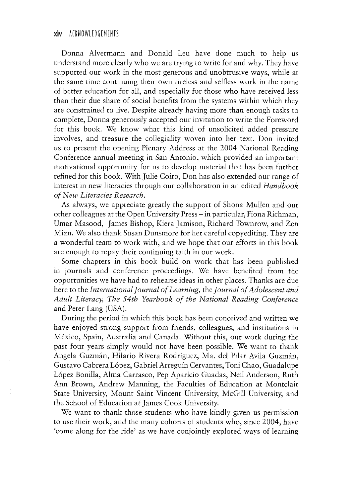Donna Alvermann and Donald Leu have done much to help us understand more clearly who we are trying to write for and why. They have supported our work in the most generous and unobtrusive ways, while at the same time continuing their own tireless and selfless work in the name of better education for all, and especially for those who have received less than their due share of social benefits from the systems within which they are constrained to live. Despite already having more than enough tasks to complete, Donna generously accepted our invitation to write the Foreword for this book. We know what this kind of unsolicited added pressure involves, and treasure the collegiality woven into her text. Don invited us to present the opening Plenary Address at the 2004 National Reading Conference annual meeting in San Antonio, which provided an important motivational opportunity for us to develop material that has been further refined for this book. With Julie Coiro, Don has also extended our range of interest in new literacies through our collaboration in an edited *Handbook of New Literacies Research.* 

As always, we appreciate greatly the support of Shona Mullen and our other colleagues at the Open University Press - in particular, Fiona Richman, Umar Masood, James Bishop, Kiera Jamison, Richard Townrow, and Zen Mian. We also thank Susan Dunsmore for her careful copyediting. They are a wonderful team to work with, and we hope that our efforts in this book are enough to repay their continuing faith in our work.

Some chapters in this book build on work that has been published in journals and conference proceedings. We have benefited from the opportunities we have had to rehearse ideas in other places. Thanks are due here to the *International Journal of Learning,* the *Journal of Adolescent and Adult Literacy, The 54th Yearbook of the National Reading Conference*  and Peter Lang (USA).

During the period in which this book has been conceived and written we have enjoyed strong support from friends, colleagues, and institutions in Mexico, Spain, Australia and Canada. Without this, our work during the past four years simply would not have been possible. We want to thank Angela Guzmán, Hilario Rivera Rodríguez, Ma. del Pilar Avila Guzmán, Gustavo Cabrera López, Gabriel Arreguín Cervantes, Toni Chao, Guadalupe López Bonilla, Alma Carrasco, Pep Aparicio Guadas, Neil Anderson, Ruth Ann Brown, Andrew Manning, the Faculties of Education at Montclair State University, Mount Saint Vincent University, McGill University, and the School of Education at James Cook University.

We want to thank those students who have kindly given us permission to use their work, and the many cohorts of students who, since 2004, have 'come along for the ride' as we have conjointly explored ways of learning